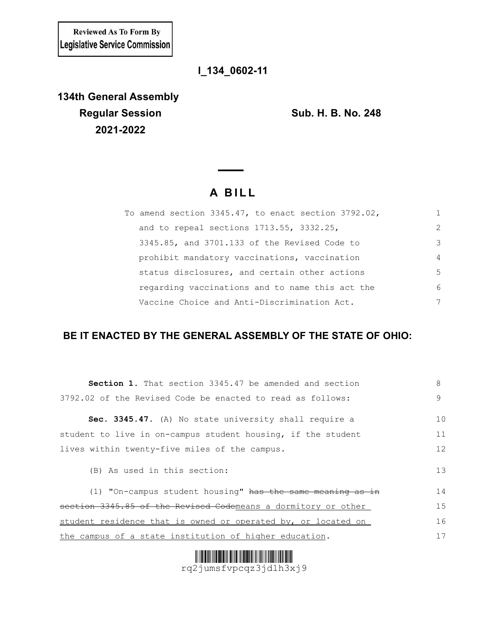**Reviewed As To Form By** Legislative Service Commission

## **l\_134\_0602-11**

**134th General Assembly Regular Session Sub. H. B. No. 248 2021-2022**

## **A B I L L**

| To amend section 3345.47, to enact section 3792.02, |                |
|-----------------------------------------------------|----------------|
| and to repeal sections 1713.55, 3332.25,            | $\mathcal{L}$  |
| 3345.85, and 3701.133 of the Revised Code to        | 3              |
| prohibit mandatory vaccinations, vaccination        | $\overline{4}$ |
| status disclosures, and certain other actions       | 5              |
| regarding vaccinations and to name this act the     | 6              |
| Vaccine Choice and Anti-Discrimination Act.         | 7              |

## **BE IT ENACTED BY THE GENERAL ASSEMBLY OF THE STATE OF OHIO:**

| <b>Section 1.</b> That section 3345.47 be amended and section | 8  |  |  |  |  |  |  |
|---------------------------------------------------------------|----|--|--|--|--|--|--|
| 3792.02 of the Revised Code be enacted to read as follows:    |    |  |  |  |  |  |  |
| Sec. 3345.47. (A) No state university shall require a         | 10 |  |  |  |  |  |  |
| student to live in on-campus student housing, if the student  | 11 |  |  |  |  |  |  |
| lives within twenty-five miles of the campus.                 |    |  |  |  |  |  |  |
| (B) As used in this section:                                  |    |  |  |  |  |  |  |
| (1) "On-campus student housing" has the same meaning as in    | 14 |  |  |  |  |  |  |
| section 3345.85 of the Revised Codemeans a dormitory or other | 15 |  |  |  |  |  |  |
| student residence that is owned or operated by, or located on | 16 |  |  |  |  |  |  |
| the campus of a state institution of higher education.        | 17 |  |  |  |  |  |  |



rq2jumsfvpcqz3jdlh3xj9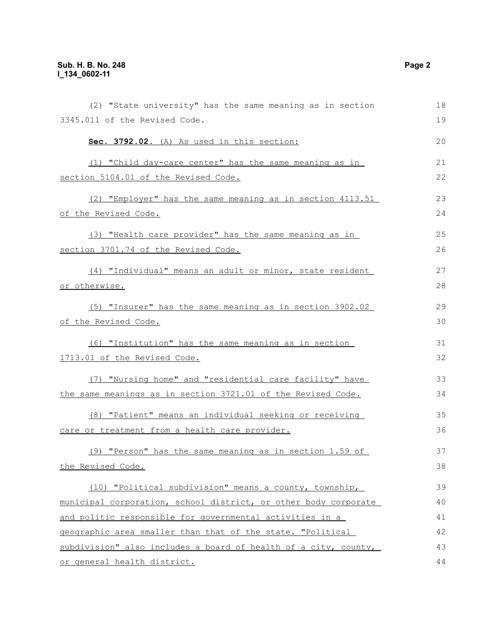| (2) "State university" has the same meaning as in section                                                               | 18 |
|-------------------------------------------------------------------------------------------------------------------------|----|
| 3345.011 of the Revised Code.                                                                                           | 19 |
| Sec. 3792.02. (A) As used in this section:                                                                              | 20 |
| (1) "Child day-care center" has the same meaning as in                                                                  | 21 |
| section 5104.01 of the Revised Code.                                                                                    | 22 |
| (2) "Employer" has the same meaning as in section 4113.51                                                               | 23 |
| of the Revised Code.                                                                                                    | 24 |
| (3) "Health care provider" has the same meaning as in                                                                   | 25 |
| section 3701.74 of the Revised Code.                                                                                    | 26 |
| (4) "Individual" means an adult or minor, state resident                                                                | 27 |
| or otherwise.                                                                                                           | 28 |
| (5) "Insurer" has the same meaning as in section 3902.02                                                                | 29 |
| of the Revised Code.                                                                                                    | 30 |
| (6) "Institution" has the same meaning as in section                                                                    | 31 |
| 1713.01 of the Revised Code.                                                                                            | 32 |
|                                                                                                                         | 33 |
| (7) "Nursing home" and "residential care facility" have<br>the same meanings as in section 3721.01 of the Revised Code. | 34 |
|                                                                                                                         |    |
| (8) "Patient" means an individual seeking or receiving                                                                  | 35 |
| care or treatment from a health care provider.                                                                          | 36 |
| $(9)$ "Person" has the same meaning as in section 1.59 of                                                               | 37 |
| the Revised Code.                                                                                                       | 38 |
| (10) "Political subdivision" means a county, township,                                                                  | 39 |
| municipal corporation, school district, or other body corporate                                                         | 40 |
| and politic responsible for governmental activities in a                                                                | 41 |
| geographic area smaller than that of the state. "Political                                                              | 42 |
| subdivision" also includes a board of health of a city, county,                                                         | 43 |
| or general health district.                                                                                             | 44 |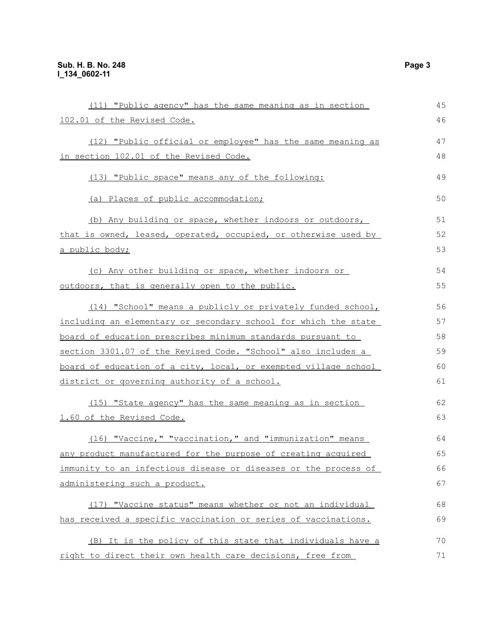| (11) "Public agency" has the same meaning as in section                                                                                                                                                                                                                                                                                                                                                                                                                                                                                                                                                                                                                                                                                                                                                                                                                                                                                                                                                                                                                                                                                                                                          | 45 |  |  |  |  |  |
|--------------------------------------------------------------------------------------------------------------------------------------------------------------------------------------------------------------------------------------------------------------------------------------------------------------------------------------------------------------------------------------------------------------------------------------------------------------------------------------------------------------------------------------------------------------------------------------------------------------------------------------------------------------------------------------------------------------------------------------------------------------------------------------------------------------------------------------------------------------------------------------------------------------------------------------------------------------------------------------------------------------------------------------------------------------------------------------------------------------------------------------------------------------------------------------------------|----|--|--|--|--|--|
| 102.01 of the Revised Code.                                                                                                                                                                                                                                                                                                                                                                                                                                                                                                                                                                                                                                                                                                                                                                                                                                                                                                                                                                                                                                                                                                                                                                      | 46 |  |  |  |  |  |
| (12) "Public official or employee" has the same meaning as                                                                                                                                                                                                                                                                                                                                                                                                                                                                                                                                                                                                                                                                                                                                                                                                                                                                                                                                                                                                                                                                                                                                       | 47 |  |  |  |  |  |
| in section 102.01 of the Revised Code.                                                                                                                                                                                                                                                                                                                                                                                                                                                                                                                                                                                                                                                                                                                                                                                                                                                                                                                                                                                                                                                                                                                                                           | 48 |  |  |  |  |  |
| (13) "Public space" means any of the following:<br>(a) Places of public accommodation;<br>(b) Any building or space, whether indoors or outdoors,<br>that is owned, leased, operated, occupied, or otherwise used by<br><u>a public body;</u><br>(c) Any other building or space, whether indoors or<br>outdoors, that is generally open to the public.<br>(14) "School" means a publicly or privately funded school,<br>including an elementary or secondary school for which the state<br>board of education prescribes minimum standards pursuant to<br>section 3301.07 of the Revised Code. "School" also includes a<br>board of education of a city, local, or exempted village school<br>district or governing authority of a school.<br>(15) "State agency" has the same meaning as in section<br>1.60 of the Revised Code.<br>(16) "Vaccine," "vaccination," and "immunization" means<br>any product manufactured for the purpose of creating acquired<br>immunity to an infectious disease or diseases or the process of<br>administering such a product.<br>(17) "Vaccine status" means whether or not an individual<br>has received a specific vaccination or series of vaccinations. |    |  |  |  |  |  |
|                                                                                                                                                                                                                                                                                                                                                                                                                                                                                                                                                                                                                                                                                                                                                                                                                                                                                                                                                                                                                                                                                                                                                                                                  |    |  |  |  |  |  |
|                                                                                                                                                                                                                                                                                                                                                                                                                                                                                                                                                                                                                                                                                                                                                                                                                                                                                                                                                                                                                                                                                                                                                                                                  | 51 |  |  |  |  |  |
|                                                                                                                                                                                                                                                                                                                                                                                                                                                                                                                                                                                                                                                                                                                                                                                                                                                                                                                                                                                                                                                                                                                                                                                                  | 52 |  |  |  |  |  |
|                                                                                                                                                                                                                                                                                                                                                                                                                                                                                                                                                                                                                                                                                                                                                                                                                                                                                                                                                                                                                                                                                                                                                                                                  | 53 |  |  |  |  |  |
|                                                                                                                                                                                                                                                                                                                                                                                                                                                                                                                                                                                                                                                                                                                                                                                                                                                                                                                                                                                                                                                                                                                                                                                                  | 54 |  |  |  |  |  |
|                                                                                                                                                                                                                                                                                                                                                                                                                                                                                                                                                                                                                                                                                                                                                                                                                                                                                                                                                                                                                                                                                                                                                                                                  | 55 |  |  |  |  |  |
|                                                                                                                                                                                                                                                                                                                                                                                                                                                                                                                                                                                                                                                                                                                                                                                                                                                                                                                                                                                                                                                                                                                                                                                                  | 56 |  |  |  |  |  |
|                                                                                                                                                                                                                                                                                                                                                                                                                                                                                                                                                                                                                                                                                                                                                                                                                                                                                                                                                                                                                                                                                                                                                                                                  |    |  |  |  |  |  |
|                                                                                                                                                                                                                                                                                                                                                                                                                                                                                                                                                                                                                                                                                                                                                                                                                                                                                                                                                                                                                                                                                                                                                                                                  | 58 |  |  |  |  |  |
|                                                                                                                                                                                                                                                                                                                                                                                                                                                                                                                                                                                                                                                                                                                                                                                                                                                                                                                                                                                                                                                                                                                                                                                                  | 59 |  |  |  |  |  |
|                                                                                                                                                                                                                                                                                                                                                                                                                                                                                                                                                                                                                                                                                                                                                                                                                                                                                                                                                                                                                                                                                                                                                                                                  | 60 |  |  |  |  |  |
|                                                                                                                                                                                                                                                                                                                                                                                                                                                                                                                                                                                                                                                                                                                                                                                                                                                                                                                                                                                                                                                                                                                                                                                                  | 61 |  |  |  |  |  |
|                                                                                                                                                                                                                                                                                                                                                                                                                                                                                                                                                                                                                                                                                                                                                                                                                                                                                                                                                                                                                                                                                                                                                                                                  | 62 |  |  |  |  |  |
|                                                                                                                                                                                                                                                                                                                                                                                                                                                                                                                                                                                                                                                                                                                                                                                                                                                                                                                                                                                                                                                                                                                                                                                                  | 63 |  |  |  |  |  |
|                                                                                                                                                                                                                                                                                                                                                                                                                                                                                                                                                                                                                                                                                                                                                                                                                                                                                                                                                                                                                                                                                                                                                                                                  | 64 |  |  |  |  |  |
|                                                                                                                                                                                                                                                                                                                                                                                                                                                                                                                                                                                                                                                                                                                                                                                                                                                                                                                                                                                                                                                                                                                                                                                                  | 65 |  |  |  |  |  |
|                                                                                                                                                                                                                                                                                                                                                                                                                                                                                                                                                                                                                                                                                                                                                                                                                                                                                                                                                                                                                                                                                                                                                                                                  | 66 |  |  |  |  |  |
|                                                                                                                                                                                                                                                                                                                                                                                                                                                                                                                                                                                                                                                                                                                                                                                                                                                                                                                                                                                                                                                                                                                                                                                                  | 67 |  |  |  |  |  |
|                                                                                                                                                                                                                                                                                                                                                                                                                                                                                                                                                                                                                                                                                                                                                                                                                                                                                                                                                                                                                                                                                                                                                                                                  | 68 |  |  |  |  |  |
|                                                                                                                                                                                                                                                                                                                                                                                                                                                                                                                                                                                                                                                                                                                                                                                                                                                                                                                                                                                                                                                                                                                                                                                                  | 69 |  |  |  |  |  |
| (B) It is the policy of this state that individuals have a                                                                                                                                                                                                                                                                                                                                                                                                                                                                                                                                                                                                                                                                                                                                                                                                                                                                                                                                                                                                                                                                                                                                       | 70 |  |  |  |  |  |
| right to direct their own health care decisions, free from                                                                                                                                                                                                                                                                                                                                                                                                                                                                                                                                                                                                                                                                                                                                                                                                                                                                                                                                                                                                                                                                                                                                       | 71 |  |  |  |  |  |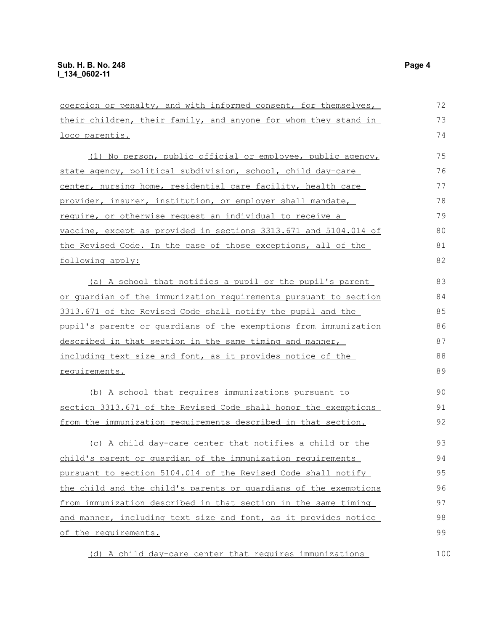coercion or penalty, and with informed consent, for themselves, their children, their family, and anyone for whom they stand in loco parentis. (1) No person, public official or employee, public agency, state agency, political subdivision, school, child day-care center, nursing home, residential care facility, health care provider, insurer, institution, or employer shall mandate, require, or otherwise request an individual to receive a vaccine, except as provided in sections 3313.671 and 5104.014 of the Revised Code. In the case of those exceptions, all of the following apply: (a) A school that notifies a pupil or the pupil's parent or guardian of the immunization requirements pursuant to section 3313.671 of the Revised Code shall notify the pupil and the pupil's parents or guardians of the exemptions from immunization described in that section in the same timing and manner, including text size and font, as it provides notice of the requirements. (b) A school that requires immunizations pursuant to section 3313.671 of the Revised Code shall honor the exemptions from the immunization requirements described in that section. (c) A child day-care center that notifies a child or the child's parent or guardian of the immunization requirements pursuant to section 5104.014 of the Revised Code shall notify the child and the child's parents or guardians of the exemptions from immunization described in that section in the same timing and manner, including text size and font, as it provides notice of the requirements. 72 73 74 75 76 77 78 79 80 81 82 83 84 85 86 87 88 89 90 91 92 93 94 95 96 97 98 99

(d) A child day-care center that requires immunizations

100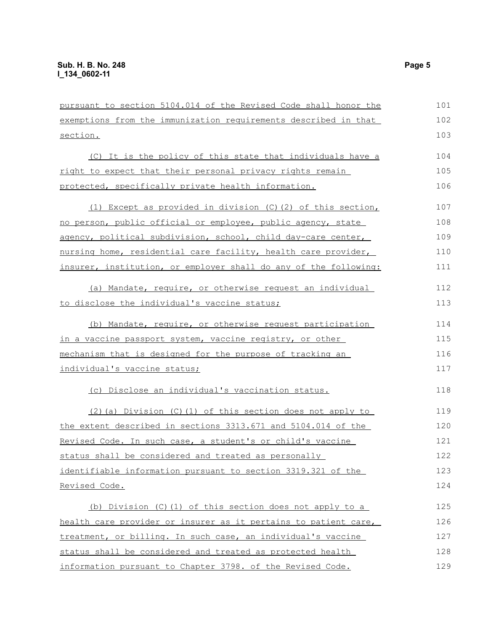pursuant to section 5104.014 of the Revised Code shall honor the exemptions from the immunization requirements described in that section. 101 102 103

(C) It is the policy of this state that individuals have a right to expect that their personal privacy rights remain protected, specifically private health information. 104 105 106

| (1) Except as provided in division $(C)$ (2) of this section,    | 107 |
|------------------------------------------------------------------|-----|
| no person, public official or employee, public agency, state     | 108 |
| agency, political subdivision, school, child day-care center,    | 109 |
| nursing home, residential care facility, health care provider,   | 110 |
| insurer, institution, or employer shall do any of the following: | 111 |

(a) Mandate, require, or otherwise request an individual to disclose the individual's vaccine status; 112 113

(b) Mandate, require, or otherwise request participation in a vaccine passport system, vaccine registry, or other mechanism that is designed for the purpose of tracking an individual's vaccine status; 114 115 116 117

(c) Disclose an individual's vaccination status.

(2)(a) Division (C)(1) of this section does not apply to the extent described in sections 3313.671 and 5104.014 of the Revised Code. In such case, a student's or child's vaccine status shall be considered and treated as personally identifiable information pursuant to section 3319.321 of the Revised Code. 119 120 121 122 123 124

(b) Division (C)(1) of this section does not apply to a health care provider or insurer as it pertains to patient care, treatment, or billing. In such case, an individual's vaccine status shall be considered and treated as protected health information pursuant to Chapter 3798. of the Revised Code. 125 126 127 128 129

118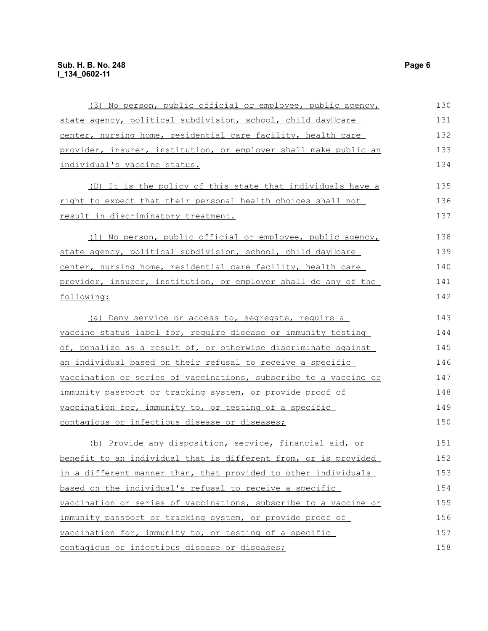| (3) No person, public official or employee, public agency,       | 130 |
|------------------------------------------------------------------|-----|
| state agency, political subdivision, school, child day Care      | 131 |
| center, nursing home, residential care facility, health care     | 132 |
| provider, insurer, institution, or employer shall make public an | 133 |
| individual's vaccine status.                                     | 134 |
| (D) It is the policy of this state that individuals have a       | 135 |
| right to expect that their personal health choices shall not     | 136 |
| result in discriminatory treatment.                              | 137 |
| (1) No person, public official or employee, public agency,       | 138 |
| state agency, political subdivision, school, child day care      | 139 |
| center, nursing home, residential care facility, health care     | 140 |
| provider, insurer, institution, or employer shall do any of the  | 141 |
| following:                                                       | 142 |
| (a) Deny service or access to, segregate, require a              | 143 |
| vaccine status label for, require disease or immunity testing    | 144 |
| of, penalize as a result of, or otherwise discriminate against   | 145 |
| an individual based on their refusal to receive a specific       | 146 |
| vaccination or series of vaccinations, subscribe to a vaccine or | 147 |
| immunity passport or tracking system, or provide proof of        | 148 |
| vaccination for, immunity to, or testing of a specific           | 149 |
| contagious or infectious disease or diseases;                    | 150 |
| (b) Provide any disposition, service, financial aid, or          | 151 |
| benefit to an individual that is different from, or is provided  | 152 |
| in a different manner than, that provided to other individuals   | 153 |
| based on the individual's refusal to receive a specific          | 154 |
| vaccination or series of vaccinations, subscribe to a vaccine or | 155 |
| immunity passport or tracking system, or provide proof of        | 156 |
| vaccination for, immunity to, or testing of a specific           | 157 |
| contagious or infectious disease or diseases;                    | 158 |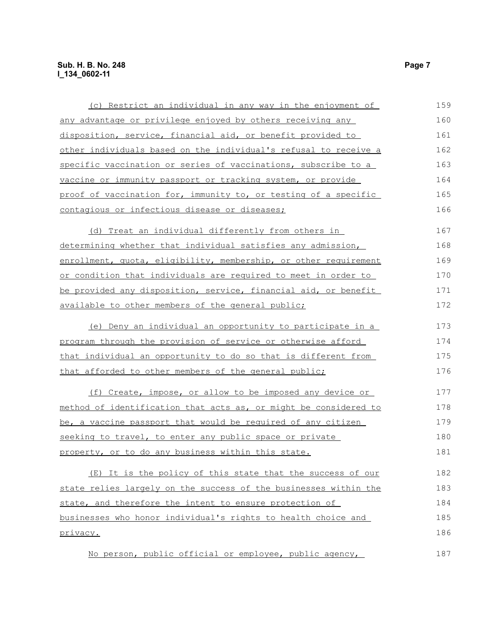| (c) Restrict an individual in any way in the enjoyment of          | 159 |
|--------------------------------------------------------------------|-----|
| any advantage or privilege enjoyed by others receiving any         | 160 |
| disposition, service, financial aid, or benefit provided to        | 161 |
| other individuals based on the individual's refusal to receive a   | 162 |
| specific vaccination or series of vaccinations, subscribe to a     | 163 |
| <u>vaccine or immunity passport or tracking system, or provide</u> | 164 |
| proof of vaccination for, immunity to, or testing of a specific    | 165 |
| contagious or infectious disease or diseases;                      | 166 |
| (d) Treat an individual differently from others in                 | 167 |
| determining whether that individual satisfies any admission,       | 168 |
| enrollment, quota, eligibility, membership, or other requirement   | 169 |
| or condition that individuals are required to meet in order to     | 170 |
| be provided any disposition, service, financial aid, or benefit    | 171 |
| available to other members of the general public;                  | 172 |
| (e) Deny an individual an opportunity to participate in a          | 173 |
| program through the provision of service or otherwise afford       | 174 |
| that individual an opportunity to do so that is different from     | 175 |
| that afforded to other members of the general public;              | 176 |
| (f) Create, impose, or allow to be imposed any device or           | 177 |
| method of identification that acts as, or might be considered to   | 178 |
| be, a vaccine passport that would be required of any citizen       | 179 |
| seeking to travel, to enter any public space or private            | 180 |
| property, or to do any business within this state.                 | 181 |
| (E) It is the policy of this state that the success of our         | 182 |
| state relies largely on the success of the businesses within the   | 183 |
| state, and therefore the intent to ensure protection of            | 184 |
| businesses who honor individual's rights to health choice and      | 185 |
| privacy.                                                           | 186 |
| No person, public official or employee, public agency,             | 187 |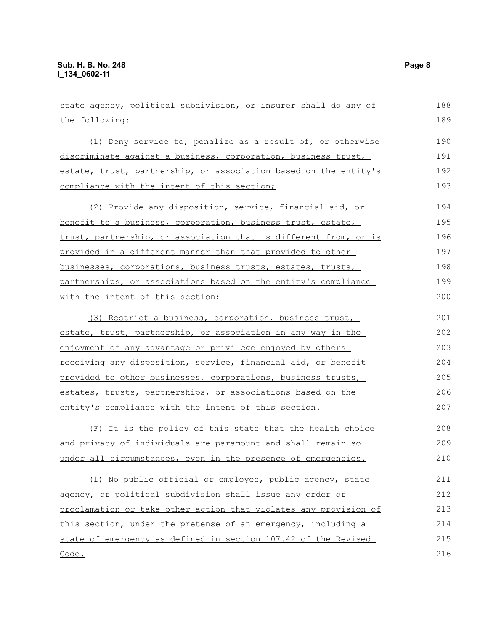| state agency, political subdivision, or insurer shall do any of  | 188 |
|------------------------------------------------------------------|-----|
| the following:                                                   | 189 |
| (1) Deny service to, penalize as a result of, or otherwise       | 190 |
| discriminate against a business, corporation, business trust,    | 191 |
| estate, trust, partnership, or association based on the entity's | 192 |
| compliance with the intent of this section;                      | 193 |
| (2) Provide any disposition, service, financial aid, or          | 194 |
| benefit to a business, corporation, business trust, estate,      | 195 |
| trust, partnership, or association that is different from, or is | 196 |
| provided in a different manner than that provided to other       | 197 |
| businesses, corporations, business trusts, estates, trusts,      | 198 |
| partnerships, or associations based on the entity's compliance   | 199 |
| with the intent of this section;                                 | 200 |
| (3) Restrict a business, corporation, business trust,            | 201 |
| estate, trust, partnership, or association in any way in the     | 202 |
| enjoyment of any advantage or privilege enjoyed by others        | 203 |
| receiving any disposition, service, financial aid, or benefit    | 204 |
| provided to other businesses, corporations, business trusts,     | 205 |
| estates, trusts, partnerships, or associations based on the      | 206 |
| entity's compliance with the intent of this section.             | 207 |
| (F) It is the policy of this state that the health choice        | 208 |
| and privacy of individuals are paramount and shall remain so     | 209 |
| under all circumstances, even in the presence of emergencies.    | 210 |
| (1) No public official or employee, public agency, state         | 211 |
| agency, or political subdivision shall issue any order or        | 212 |
| proclamation or take other action that violates any provision of | 213 |
| this section, under the pretense of an emergency, including a    | 214 |
| state of emergency as defined in section 107.42 of the Revised   | 215 |
| <u>Code.</u>                                                     | 216 |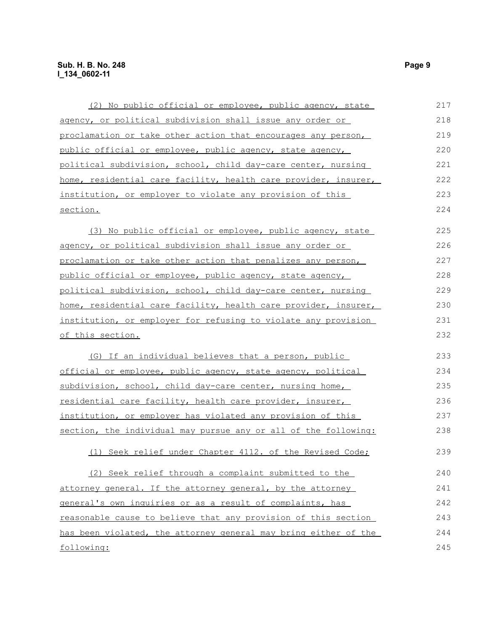| (2) No public official or employee, public agency, state        | 217 |  |  |  |  |
|-----------------------------------------------------------------|-----|--|--|--|--|
| agency, or political subdivision shall issue any order or       | 218 |  |  |  |  |
| proclamation or take other action that encourages any person,   | 219 |  |  |  |  |
| public official or employee, public agency, state agency,       | 220 |  |  |  |  |
| political subdivision, school, child day-care center, nursing   | 221 |  |  |  |  |
| home, residential care facility, health care provider, insurer, | 222 |  |  |  |  |
| institution, or employer to violate any provision of this       | 223 |  |  |  |  |
| section.                                                        | 224 |  |  |  |  |
| (3) No public official or employee, public agency, state        | 225 |  |  |  |  |
| agency, or political subdivision shall issue any order or       | 226 |  |  |  |  |
| proclamation or take other action that penalizes any person,    | 227 |  |  |  |  |
| public official or employee, public agency, state agency,       | 228 |  |  |  |  |
| political subdivision, school, child day-care center, nursing   | 229 |  |  |  |  |
| home, residential care facility, health care provider, insurer, | 230 |  |  |  |  |
| institution, or employer for refusing to violate any provision  |     |  |  |  |  |
| of this section.                                                | 232 |  |  |  |  |
| (G) If an individual believes that a person, public             | 233 |  |  |  |  |
| official or employee, public agency, state agency, political    | 234 |  |  |  |  |
| subdivision, school, child day-care center, nursing home,       | 235 |  |  |  |  |
| residential care facility, health care provider, insurer,       | 236 |  |  |  |  |
| institution, or employer has violated any provision of this     | 237 |  |  |  |  |
| section, the individual may pursue any or all of the following: | 238 |  |  |  |  |
| (1) Seek relief under Chapter 4112. of the Revised Code;        | 239 |  |  |  |  |
| (2) Seek relief through a complaint submitted to the            | 240 |  |  |  |  |
| attorney general. If the attorney general, by the attorney      | 241 |  |  |  |  |
| general's own inquiries or as a result of complaints, has       | 242 |  |  |  |  |
| reasonable cause to believe that any provision of this section  | 243 |  |  |  |  |
| has been violated, the attorney general may bring either of the | 244 |  |  |  |  |
| following:                                                      |     |  |  |  |  |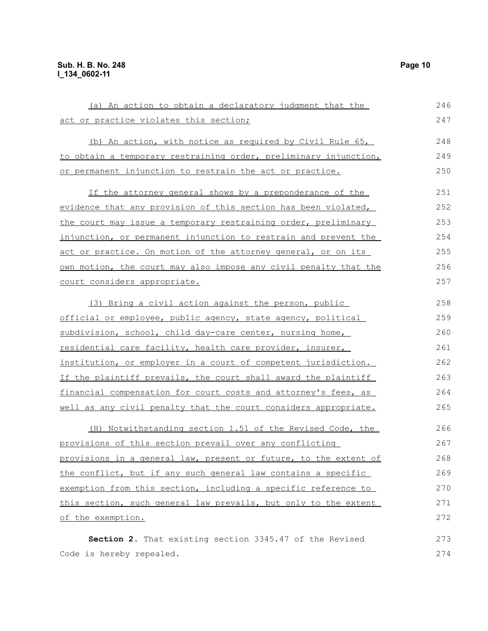| (a) An action to obtain a declaratory judgment that the          | 246 |
|------------------------------------------------------------------|-----|
| act or practice violates this section;                           | 247 |
| (b) An action, with notice as required by Civil Rule 65,         | 248 |
| to obtain a temporary restraining order, preliminary injunction, | 249 |
| or permanent injunction to restrain the act or practice.         | 250 |
| If the attorney general shows by a preponderance of the          | 251 |
| evidence that any provision of this section has been violated,   | 252 |
| the court may issue a temporary restraining order, preliminary   | 253 |
| injunction, or permanent injunction to restrain and prevent the  | 254 |
| act or practice. On motion of the attorney general, or on its    | 255 |
| own motion, the court may also impose any civil penalty that the | 256 |
| court considers appropriate.                                     | 257 |
| (3) Bring a civil action against the person, public              | 258 |
| official or employee, public agency, state agency, political     | 259 |
| subdivision, school, child day-care center, nursing home,        | 260 |
| residential care facility, health care provider, insurer,        | 261 |
| institution, or employer in a court of competent jurisdiction.   | 262 |
| If the plaintiff prevails, the court shall award the plaintiff   | 263 |
| financial compensation for court costs and attorney's fees, as   | 264 |
| well as any civil penalty that the court considers appropriate.  | 265 |
| (H) Notwithstanding section 1.51 of the Revised Code, the        | 266 |
| provisions of this section prevail over any conflicting          | 267 |
| provisions in a general law, present or future, to the extent of | 268 |
| the conflict, but if any such general law contains a specific    | 269 |
| exemption from this section, including a specific reference to   | 270 |
| this section, such general law prevails, but only to the extent  | 271 |
| of the exemption.                                                | 272 |
| Section 2. That existing section 3345.47 of the Revised          | 273 |
| Code is hereby repealed.                                         | 274 |